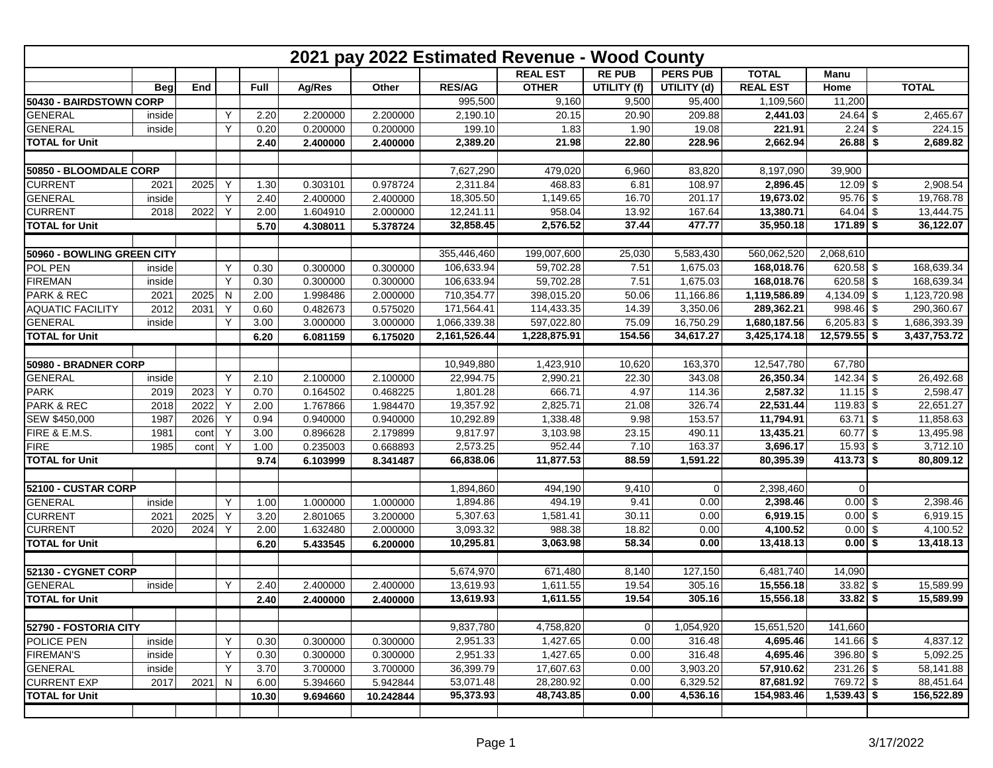| 2021 pay 2022 Estimated Revenue - Wood County |            |      |   |       |          |           |               |                 |               |                 |                 |                |  |              |
|-----------------------------------------------|------------|------|---|-------|----------|-----------|---------------|-----------------|---------------|-----------------|-----------------|----------------|--|--------------|
|                                               |            |      |   |       |          |           |               | <b>REAL EST</b> | <b>RE PUB</b> | <b>PERS PUB</b> | <b>TOTAL</b>    | Manu           |  |              |
|                                               | <b>Beg</b> | End  |   | Full  | Ag/Res   | Other     | <b>RES/AG</b> | <b>OTHER</b>    | UTILITY (f)   | UTILITY (d)     | <b>REAL EST</b> | Home           |  | <b>TOTAL</b> |
| 50430 - BAIRDSTOWN CORP                       |            |      |   |       |          |           | 995,500       | 9,160           | 9,500         | 95,400          | 1,109,560       | 11,200         |  |              |
| <b>GENERAL</b>                                | inside     |      | Y | 2.20  | 2.200000 | 2.200000  | 2,190.10      | 20.15           | 20.90         | 209.88          | 2,441.03        | $24.64$ \$     |  | 2,465.67     |
| <b>GENERAL</b>                                | inside     |      | Y | 0.20  | 0.200000 | 0.200000  | 199.10        | 1.83            | 1.90          | 19.08           | 221.91          | $2.24$ \$      |  | 224.15       |
| <b>TOTAL for Unit</b>                         |            |      |   | 2.40  | 2.400000 | 2.400000  | 2,389.20      | 21.98           | 22.80         | 228.96          | 2,662.94        | $26.88$ \$     |  | 2,689.82     |
|                                               |            |      |   |       |          |           |               |                 |               |                 |                 |                |  |              |
| 50850 - BLOOMDALE CORP                        |            |      |   |       |          |           | 7,627,290     | 479,020         | 6,960         | 83,820          | 8,197,090       | 39,900         |  |              |
| <b>CURRENT</b>                                | 2021       | 2025 | Y | 1.30  | 0.303101 | 0.978724  | 2,311.84      | 468.83          | 6.81          | 108.97          | 2,896.45        | $12.09$ \$     |  | 2,908.54     |
| <b>GENERAL</b>                                | inside     |      | Y | 2.40  | 2.400000 | 2.400000  | 18,305.50     | 1,149.65        | 16.70         | 201.17          | 19,673.02       | $95.76$ \$     |  | 19,768.78    |
| <b>CURRENT</b>                                | 2018       | 2022 | Y | 2.00  | 1.604910 | 2.000000  | 12,241.11     | 958.04          | 13.92         | 167.64          | 13,380.71       | $64.04$ \$     |  | 13,444.75    |
| <b>TOTAL for Unit</b>                         |            |      |   | 5.70  | 4.308011 | 5.378724  | 32,858.45     | 2,576.52        | 37.44         | 477.77          | 35,950.18       | $171.89$ \$    |  | 36,122.07    |
|                                               |            |      |   |       |          |           |               |                 |               |                 |                 |                |  |              |
| 50960 - BOWLING GREEN CITY                    |            |      |   |       |          |           | 355,446,460   | 199,007,600     | 25,030        | 5,583,430       | 560,062,520     | 2,068,610      |  |              |
| POL PEN                                       | inside     |      | Y | 0.30  | 0.300000 | 0.300000  | 106,633.94    | 59,702.28       | 7.51          | 1,675.03        | 168,018.76      | 620.58 \$      |  | 168,639.34   |
| <b>FIREMAN</b>                                | inside     |      | Y | 0.30  | 0.300000 | 0.300000  | 106,633.94    | 59,702.28       | 7.51          | 1,675.03        | 168,018.76      | 620.58 $$$     |  | 168,639.34   |
| <b>PARK &amp; REC</b>                         | 2021       | 2025 | N | 2.00  | 1.998486 | 2.000000  | 710,354.77    | 398,015.20      | 50.06         | 11,166.86       | 1,119,586.89    | 4,134.09 \$    |  | 1,123,720.98 |
| <b>AQUATIC FACILITY</b>                       | 2012       | 2031 | Y | 0.60  | 0.482673 | 0.575020  | 171,564.41    | 114,433.35      | 14.39         | 3,350.06        | 289,362.21      | $998.46$ \$    |  | 290,360.67   |
| <b>GENERAL</b>                                | inside     |      | Y | 3.00  | 3.000000 | 3.000000  | 1,066,339.38  | 597,022.80      | 75.09         | 16,750.29       | 1,680,187.56    | $6,205.83$ \$  |  | 1,686,393.39 |
| <b>TOTAL for Unit</b>                         |            |      |   | 6.20  | 6.081159 | 6.175020  | 2,161,526.44  | 1,228,875.91    | 154.56        | 34,617.27       | 3,425,174.18    | $12,579.55$ \$ |  | 3,437,753.72 |
|                                               |            |      |   |       |          |           |               |                 |               |                 |                 |                |  |              |
| 50980 - BRADNER CORP                          |            |      |   |       |          |           | 10,949,880    | 1,423,910       | 10,620        | 163,370         | 12,547,780      | 67,780         |  |              |
| <b>GENERAL</b>                                | inside     |      | Y | 2.10  | 2.100000 | 2.100000  | 22,994.75     | 2,990.21        | 22.30         | 343.08          | 26,350.34       | $142.34$ \$    |  | 26,492.68    |
| <b>PARK</b>                                   | 2019       | 2023 | Υ | 0.70  | 0.164502 | 0.468225  | 1,801.28      | 666.71          | 4.97          | 114.36          | 2,587.32        | $11.15$ \$     |  | 2,598.47     |
| PARK & REC                                    | 2018       | 2022 | Y | 2.00  | 1.767866 | 1.984470  | 19,357.92     | 2,825.71        | 21.08         | 326.74          | 22,531.44       | $119.83$ \$    |  | 22,651.27    |
| SEW \$450,000                                 | 1987       | 2026 | Y | 0.94  | 0.940000 | 0.940000  | 10,292.89     | 1,338.48        | 9.98          | 153.57          | 11,794.91       | $63.71$ \$     |  | 11,858.63    |
| FIRE & E.M.S.                                 | 1981       | cont | Y | 3.00  | 0.896628 | 2.179899  | 9,817.97      | 3,103.98        | 23.15         | 490.11          | 13,435.21       | $60.77$ \$     |  | 13,495.98    |
| <b>FIRE</b>                                   | 1985       | cont | Y | 1.00  | 0.235003 | 0.668893  | 2,573.25      | 952.44          | 7.10          | 163.37          | 3,696.17        | $15.93$ \$     |  | 3,712.10     |
| <b>TOTAL for Unit</b>                         |            |      |   | 9.74  | 6.103999 | 8.341487  | 66,838.06     | 11,877.53       | 88.59         | 1,591.22        | 80,395.39       | 413.73 \$      |  | 80,809.12    |
|                                               |            |      |   |       |          |           |               |                 |               |                 |                 |                |  |              |
| 52100 - CUSTAR CORP                           |            |      |   |       |          |           | 1,894,860     | 494,190         | 9,410         | -OI             | 2,398,460       | -ol            |  |              |
| <b>GENERAL</b>                                | inside     |      | Y | 1.00  | 1.000000 | 1.000000  | 1,894.86      | 494.19          | 9.41          | 0.00            | 2,398.46        | $0.00$ \$      |  | 2,398.46     |
| <b>CURRENT</b>                                | 2021       | 2025 | Υ | 3.20  | 2.801065 | 3.200000  | 5,307.63      | 1,581.41        | 30.11         | 0.00            | 6,919.15        | $0.00$ \$      |  | 6,919.15     |
| <b>CURRENT</b>                                | 2020       | 2024 | Y | 2.00  | 1.632480 | 2.000000  | 3,093.32      | 988.38          | 18.82         | 0.00            | 4,100.52        | $0.00$ \$      |  | 4,100.52     |
| <b>TOTAL for Unit</b>                         |            |      |   | 6.20  | 5.433545 | 6.200000  | 10,295.81     | 3,063.98        | 58.34         | 0.00            | 13,418.13       | $0.00$ \$      |  | 13,418.13    |
|                                               |            |      |   |       |          |           |               |                 |               |                 |                 |                |  |              |
| 52130 - CYGNET CORP                           |            |      |   |       |          |           | 5,674,970     | 671,480         | 8,140         | 127,150         | 6,481,740       | 14,090         |  |              |
| <b>GENERAL</b>                                | inside     |      | Υ | 2.40  | 2.400000 | 2.400000  | 13,619.93     | 1,611.55        | 19.54         | 305.16          | 15,556.18       | $33.82$ \$     |  | 15,589.99    |
| <b>TOTAL for Unit</b>                         |            |      |   | 2.40  | 2.400000 | 2.400000  | 13,619.93     | 1,611.55        | 19.54         | 305.16          | 15,556.18       | $33.82$ \$     |  | 15,589.99    |
|                                               |            |      |   |       |          |           |               |                 |               |                 |                 |                |  |              |
| 52790 - FOSTORIA CITY                         |            |      |   |       |          |           | 9,837,780     | 4,758,820       | 0             | 1,054,920       | 15,651,520      | 141,660        |  |              |
| POLICE PEN                                    | inside     |      | Y | 0.30  | 0.300000 | 0.300000  | 2,951.33      | 1,427.65        | 0.00          | 316.48          | 4,695.46        | $141.66$ \$    |  | 4,837.12     |
| <b>FIREMAN'S</b>                              | inside     |      | Υ | 0.30  | 0.300000 | 0.300000  | 2,951.33      | 1,427.65        | 0.00          | 316.48          | 4,695.46        | $396.80$ \$    |  | 5,092.25     |
| <b>GENERAL</b>                                | inside     |      | Υ | 3.70  | 3.700000 | 3.700000  | 36,399.79     | 17,607.63       | 0.00          | 3,903.20        | 57,910.62       | $231.26$ \$    |  | 58,141.88    |
| <b>CURRENT EXP</b>                            | 2017       | 2021 | N | 6.00  | 5.394660 | 5.942844  | 53,071.48     | 28,280.92       | 0.00          | 6,329.52        | 87,681.92       | 769.72 \$      |  | 88,451.64    |
| <b>TOTAL for Unit</b>                         |            |      |   | 10.30 | 9.694660 | 10.242844 | 95,373.93     | 48,743.85       | 0.00          | 4,536.16        | 154,983.46      | $1,539.43$ \$  |  | 156,522.89   |
|                                               |            |      |   |       |          |           |               |                 |               |                 |                 |                |  |              |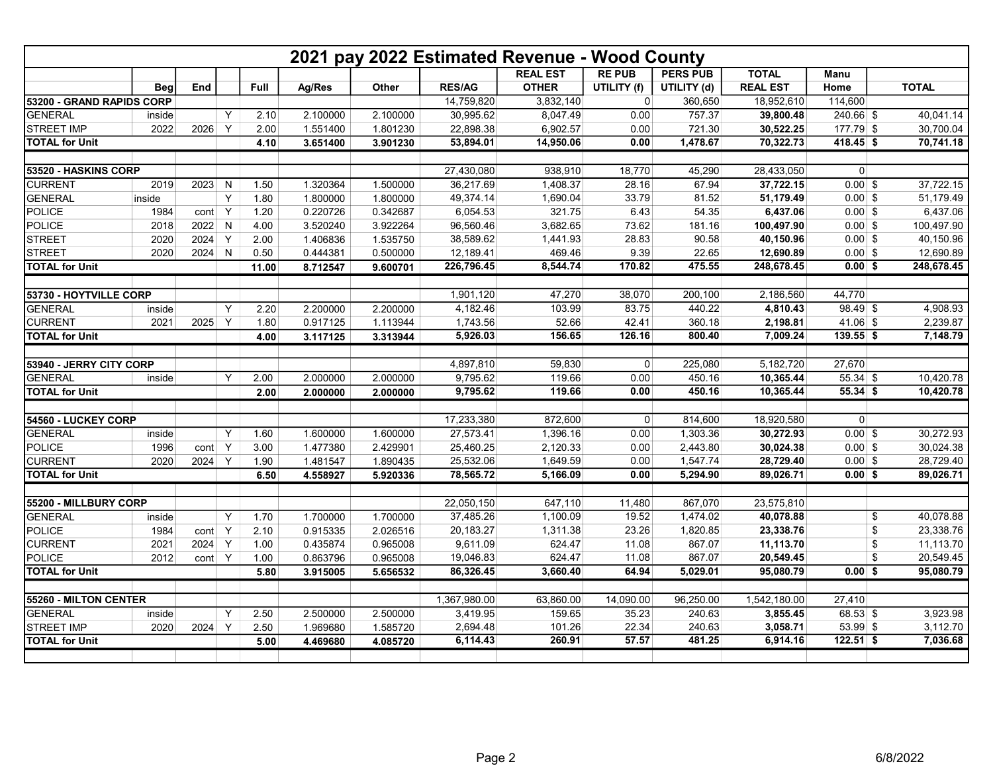|                           |            |      |              |       |          |          |               | 2021 pay 2022 Estimated Revenue - Wood County |                |                 |                 |                |                 |
|---------------------------|------------|------|--------------|-------|----------|----------|---------------|-----------------------------------------------|----------------|-----------------|-----------------|----------------|-----------------|
|                           |            |      |              |       |          |          |               | <b>REAL EST</b>                               | <b>RE PUB</b>  | <b>PERS PUB</b> | <b>TOTAL</b>    | <b>Manu</b>    |                 |
|                           | <b>Beg</b> | End  |              | Full  | Ag/Res   | Other    | <b>RES/AG</b> | <b>OTHER</b>                                  | UTILITY (f)    | UTILITY (d)     | <b>REAL EST</b> | Home           | <b>TOTAL</b>    |
| 53200 - GRAND RAPIDS CORP |            |      |              |       |          |          | 14,759,820    | 3,832,140                                     | $\mathbf 0$    | 360,650         | 18,952,610      | 114,600        |                 |
| <b>GENERAL</b>            | inside     |      | Y            | 2.10  | 2.100000 | 2.100000 | 30,995.62     | 8,047.49                                      | 0.00           | 757.37          | 39,800.48       | $240.66$ \$    | 40,041.14       |
| <b>STREET IMP</b>         | 2022       | 2026 | Y            | 2.00  | 1.551400 | 1.801230 | 22,898.38     | 6,902.57                                      | 0.00           | 721.30          | 30,522.25       | $177.79$ \$    | 30,700.04       |
| <b>TOTAL for Unit</b>     |            |      |              | 4.10  | 3.651400 | 3.901230 | 53,894.01     | 14,950.06                                     | 0.00           | 1,478.67        | 70,322.73       | $418.45$ \$    | 70,741.18       |
|                           |            |      |              |       |          |          |               |                                               |                |                 |                 |                |                 |
| 53520 - HASKINS CORP      |            |      |              |       |          |          | 27,430,080    | 938,910                                       | 18,770         | 45,290          | 28,433,050      | $\overline{0}$ |                 |
| <b>CURRENT</b>            | 2019       | 2023 | N            | 1.50  | 1.320364 | 1.500000 | 36,217.69     | 1,408.37                                      | 28.16          | 67.94           | 37,722.15       | $0.00$ \$      | 37,722.15       |
| <b>GENERAL</b>            | inside     |      | Y            | 1.80  | 1.800000 | 1.800000 | 49,374.14     | 1,690.04                                      | 33.79          | 81.52           | 51,179.49       | $0.00$ \$      | 51,179.49       |
| <b>POLICE</b>             | 1984       | cont | Y            | 1.20  | 0.220726 | 0.342687 | 6,054.53      | 321.75                                        | 6.43           | 54.35           | 6,437.06        | $0.00$ \$      | 6,437.06        |
| <b>POLICE</b>             | 2018       | 2022 | N            | 4.00  | 3.520240 | 3.922264 | 96,560.46     | 3,682.65                                      | 73.62          | 181.16          | 100,497.90      | $0.00$ \$      | 100,497.90      |
| <b>STREET</b>             | 2020       | 2024 | Y            | 2.00  | 1.406836 | 1.535750 | 38,589.62     | 1,441.93                                      | 28.83          | 90.58           | 40,150.96       | $0.00$ \$      | 40,150.96       |
| <b>STREET</b>             | 2020       | 2024 | $\mathsf{N}$ | 0.50  | 0.444381 | 0.500000 | 12,189.41     | 469.46                                        | 9.39           | 22.65           | 12,690.89       | $0.00$ \$      | 12,690.89       |
| <b>TOTAL for Unit</b>     |            |      |              | 11.00 | 8.712547 | 9.600701 | 226,796.45    | 8,544.74                                      | 170.82         | 475.55          | 248,678.45      | $0.00$ \$      | 248,678.45      |
|                           |            |      |              |       |          |          |               |                                               |                |                 |                 |                |                 |
| 53730 - HOYTVILLE CORP    |            |      |              |       |          |          | 1,901,120     | 47,270                                        | 38,070         | 200,100         | 2,186,560       | 44,770         |                 |
| <b>GENERAL</b>            | inside     |      | Υ            | 2.20  | 2.200000 | 2.200000 | 4,182.46      | 103.99                                        | 83.75          | 440.22          | 4,810.43        | $98.49$ \$     | 4,908.93        |
| <b>CURRENT</b>            | 2021       | 2025 | Y            | 1.80  | 0.917125 | 1.113944 | 1,743.56      | 52.66                                         | 42.41          | 360.18          | 2,198.81        | $41.06$ \$     | 2,239.87        |
| <b>TOTAL for Unit</b>     |            |      |              | 4.00  | 3.117125 | 3.313944 | 5,926.03      | 156.65                                        | 126.16         | 800.40          | 7,009.24        | $139.55$ \$    | 7,148.79        |
|                           |            |      |              |       |          |          |               |                                               |                |                 |                 |                |                 |
| 53940 - JERRY CITY CORP   |            |      |              |       |          |          | 4,897,810     | 59,830                                        | $\overline{0}$ | 225,080         | 5,182,720       | 27,670         |                 |
| <b>GENERAL</b>            | inside     |      | Y            | 2.00  | 2.000000 | 2.000000 | 9,795.62      | 119.66                                        | 0.00           | 450.16          | 10,365.44       | $55.34$ \$     | 10,420.78       |
| <b>TOTAL for Unit</b>     |            |      |              | 2.00  | 2.000000 | 2.000000 | 9,795.62      | 119.66                                        | 0.00           | 450.16          | 10,365.44       | $55.34$ \$     | 10,420.78       |
|                           |            |      |              |       |          |          |               |                                               |                |                 |                 |                |                 |
| 54560 - LUCKEY CORP       |            |      |              |       |          |          | 17,233,380    | 872,600                                       | $\overline{0}$ | 814,600         | 18,920,580      | $\overline{0}$ |                 |
| <b>GENERAL</b>            | inside     |      | Υ            | 1.60  | 1.600000 | 1.600000 | 27,573.41     | 1,396.16                                      | 0.00           | 1,303.36        | 30,272.93       | $0.00$ \$      | 30,272.93       |
| <b>POLICE</b>             | 1996       | cont | Y            | 3.00  | 1.477380 | 2.429901 | 25,460.25     | 2,120.33                                      | 0.00           | 2,443.80        | 30,024.38       | $0.00$ \$      | 30,024.38       |
| <b>CURRENT</b>            | 2020       | 2024 | Y            | 1.90  | 1.481547 | 1.890435 | 25,532.06     | 1,649.59                                      | 0.00           | 1,547.74        | 28,729.40       | $0.00$ \$      | 28,729.40       |
| <b>TOTAL for Unit</b>     |            |      |              | 6.50  | 4.558927 | 5.920336 | 78,565.72     | 5,166.09                                      | 0.00           | 5,294.90        | 89,026.71       | $0.00$ \$      | 89,026.71       |
|                           |            |      |              |       |          |          |               |                                               |                |                 |                 |                |                 |
| 55200 - MILLBURY CORP     |            |      |              |       |          |          | 22,050,150    | 647,110                                       | 11,480         | 867,070         | 23,575,810      |                |                 |
| <b>GENERAL</b>            | inside     |      | Y            | 1.70  | 1.700000 | 1.700000 | 37,485.26     | 1,100.09                                      | 19.52          | 1,474.02        | 40,078.88       |                | \$<br>40,078.88 |
| <b>POLICE</b>             | 1984       | cont | Y            | 2.10  | 0.915335 | 2.026516 | 20,183.27     | 1,311.38                                      | 23.26          | 1,820.85        | 23,338.76       |                | \$<br>23,338.76 |
| <b>CURRENT</b>            | 2021       | 2024 | Y            | 1.00  | 0.435874 | 0.965008 | 9,611.09      | 624.47                                        | 11.08          | 867.07          | 11,113.70       |                | \$<br>11,113.70 |
| <b>POLICE</b>             | 2012       | cont | Y            | 1.00  | 0.863796 | 0.965008 | 19,046.83     | 624.47                                        | 11.08          | 867.07          | 20,549.45       |                | \$<br>20,549.45 |
| <b>TOTAL for Unit</b>     |            |      |              | 5.80  | 3.915005 | 5.656532 | 86,326.45     | 3,660.40                                      | 64.94          | 5,029.01        | 95,080.79       | 0.00S          | 95,080.79       |
|                           |            |      |              |       |          |          |               |                                               |                |                 |                 |                |                 |
| 55260 - MILTON CENTER     |            |      |              |       |          |          | 1,367,980.00  | 63,860.00                                     | 14,090.00      | 96,250.00       | 1,542,180.00    | 27,410         |                 |
| <b>GENERAL</b>            | inside     |      | Υ            | 2.50  | 2.500000 | 2.500000 | 3,419.95      | 159.65                                        | 35.23          | 240.63          | 3,855.45        | $68.53$ \$     | 3.923.98        |
| <b>STREET IMP</b>         | 2020       | 2024 | Y            | 2.50  | 1.969680 | 1.585720 | 2,694.48      | 101.26                                        | 22.34          | 240.63          | 3,058.71        | $53.99$ \$     | 3,112.70        |
| <b>TOTAL</b> for Unit     |            |      |              | 5.00  | 4.469680 | 4.085720 | 6,114.43      | 260.91                                        | 57.57          | 481.25          | 6,914.16        | $122.51$ \$    | 7,036.68        |
|                           |            |      |              |       |          |          |               |                                               |                |                 |                 |                |                 |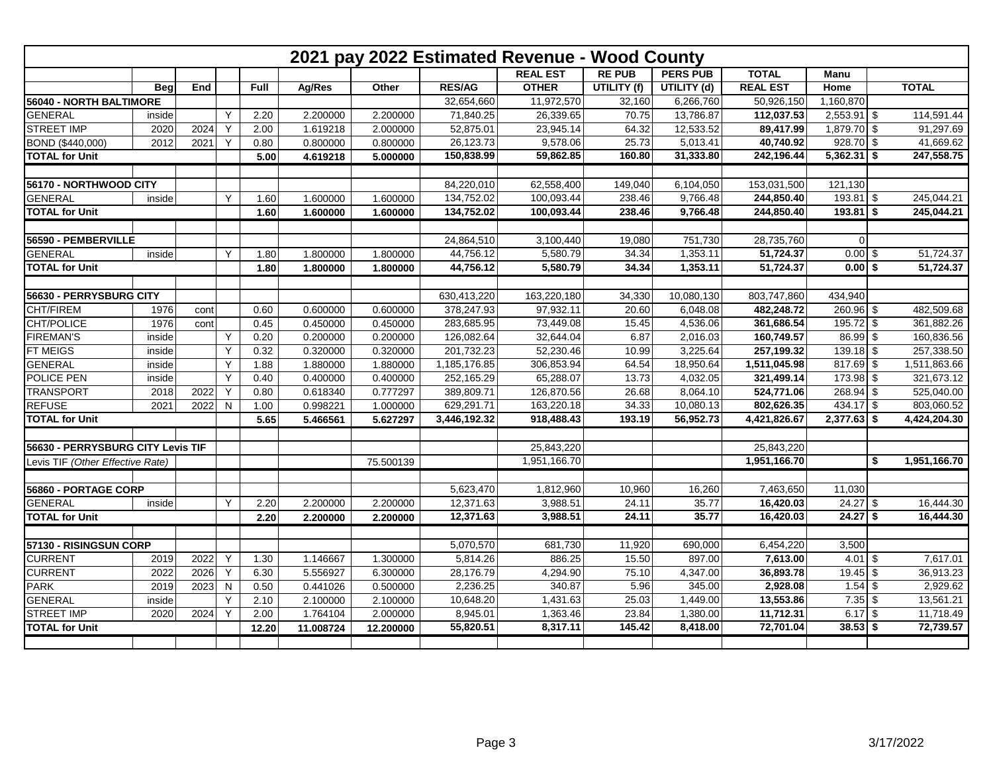|                                   |            |      |           |       |           |           |               | 2021 pay 2022 Estimated Revenue - Wood County |               |                 |                 |               |                    |
|-----------------------------------|------------|------|-----------|-------|-----------|-----------|---------------|-----------------------------------------------|---------------|-----------------|-----------------|---------------|--------------------|
|                                   |            |      |           |       |           |           |               | <b>REAL EST</b>                               | <b>RE PUB</b> | <b>PERS PUB</b> | <b>TOTAL</b>    | Manu          |                    |
|                                   | <b>Bea</b> | End  |           | Full  | Ag/Res    | Other     | <b>RES/AG</b> | <b>OTHER</b>                                  | UTILITY (f)   | UTILITY (d)     | <b>REAL EST</b> | Home          | <b>TOTAL</b>       |
| 56040 - NORTH BALTIMORE           |            |      |           |       |           |           | 32,654,660    | 11,972,570                                    | 32,160        | 6,266,760       | 50,926,150      | 1,160,870     |                    |
| <b>GENERAL</b>                    | inside     |      | Υ         | 2.20  | 2.200000  | 2.200000  | 71,840.25     | 26,339.65                                     | 70.75         | 13,786.87       | 112,037.53      | $2,553.91$ \$ | 114,591.44         |
| <b>STREET IMP</b>                 | 2020       | 2024 | Y         | 2.00  | 1.619218  | 2.000000  | 52,875.01     | 23,945.14                                     | 64.32         | 12,533.52       | 89,417.99       | $1,879.70$ \$ | 91,297.69          |
| BOND (\$440,000)                  | 2012       | 2021 | Y         | 0.80  | 0.800000  | 0.800000  | 26,123.73     | 9,578.06                                      | 25.73         | 5,013.41        | 40,740.92       | $928.70$ \$   | 41,669.62          |
| <b>TOTAL for Unit</b>             |            |      |           | 5.00  | 4.619218  | 5.000000  | 150,838.99    | 59,862.85                                     | 160.80        | 31,333.80       | 242,196.44      | $5,362.31$ \$ | 247,558.75         |
| 56170 - NORTHWOOD CITY            |            |      |           |       |           |           | 84,220,010    | 62,558,400                                    | 149,040       | 6,104,050       | 153,031,500     | 121,130       |                    |
| <b>GENERAL</b>                    | inside     |      | Y         | 1.60  | 1.600000  | 1.600000  | 134,752.02    | 100,093.44                                    | 238.46        | 9,766.48        | 244,850.40      | $193.81$ \$   | 245,044.21         |
| <b>TOTAL for Unit</b>             |            |      |           | 1.60  | 1.600000  | 1.600000  | 134,752.02    | 100,093.44                                    | 238.46        | 9,766.48        | 244,850.40      | $193.81$ \$   | 245,044.21         |
| 56590 - PEMBERVILLE               |            |      |           |       |           |           | 24,864,510    | 3,100,440                                     | 19,080        | 751,730         | 28,735,760      | $\Omega$      |                    |
| <b>GENERAL</b>                    | inside     |      | Y         | 1.80  | 1.800000  | 1.800000  | 44,756.12     | 5,580.79                                      | 34.34         | 1,353.11        | 51,724.37       | $0.00$ \$     | 51,724.37          |
| <b>TOTAL</b> for Unit             |            |      |           | 1.80  | 1.800000  | 1.800000  | 44,756.12     | 5,580.79                                      | 34.34         | 1,353.11        | 51,724.37       | $0.00$ \$     | 51,724.37          |
|                                   |            |      |           |       |           |           |               |                                               |               |                 |                 |               |                    |
| 56630 - PERRYSBURG CITY           |            |      |           |       |           |           | 630,413,220   | 163,220,180                                   | 34,330        | 10,080,130      | 803,747,860     | 434,940       |                    |
| CHT/FIREM                         | 1976       | cont |           | 0.60  | 0.600000  | 0.600000  | 378,247.93    | 97,932.11                                     | 20.60         | 6,048.08        | 482,248.72      | $260.96$ \$   | 482,509.68         |
| CHT/POLICE                        | 1976       | cont |           | 0.45  | 0.450000  | 0.450000  | 283,685.95    | 73,449.08                                     | 15.45         | 4,536.06        | 361,686.54      | $195.72$ \$   | 361.882.26         |
| <b>FIREMAN'S</b>                  | inside     |      | Y         | 0.20  | 0.200000  | 0.200000  | 126,082.64    | 32,644.04                                     | 6.87          | 2,016.03        | 160,749.57      | $86.99$ \$    | 160,836.56         |
| <b>FT MEIGS</b>                   | inside     |      | Y         | 0.32  | 0.320000  | 0.320000  | 201,732.23    | 52,230.46                                     | 10.99         | 3,225.64        | 257,199.32      | $139.18$ \$   | 257,338.50         |
| <b>GENERAL</b>                    | inside     |      | Y         | 1.88  | 1.880000  | 1.880000  | 1,185,176.85  | 306,853.94                                    | 64.54         | 18,950.64       | 1,511,045.98    | 817.69        | \$<br>1,511,863.66 |
| POLICE PEN                        | inside     |      | Y         | 0.40  | 0.400000  | 0.400000  | 252,165.29    | 65,288.07                                     | 13.73         | 4,032.05        | 321,499.14      | 173.98 \$     | 321,673.12         |
| <b>TRANSPORT</b>                  | 2018       | 2022 | Y         | 0.80  | 0.618340  | 0.777297  | 389,809.71    | 126,870.56                                    | 26.68         | 8,064.10        | 524,771.06      | $268.94$ \$   | 525,040.00         |
| <b>REFUSE</b>                     | 2021       | 2022 | N         | 1.00  | 0.998221  | 1.000000  | 629,291.71    | 163,220.18                                    | 34.33         | 10,080.13       | 802,626.35      | $434.17$ \$   | 803,060.52         |
| <b>TOTAL for Unit</b>             |            |      |           | 5.65  | 5.466561  | 5.627297  | 3,446,192.32  | 918,488.43                                    | 193.19        | 56.952.73       | 4,421,826.67    | $2,377.63$ \$ | 4,424,204.30       |
|                                   |            |      |           |       |           |           |               |                                               |               |                 |                 |               |                    |
| 56630 - PERRYSBURG CITY Levis TIF |            |      |           |       |           |           |               | 25,843,220                                    |               |                 | 25,843,220      |               |                    |
| Levis TIF (Other Effective Rate)  |            |      |           |       |           | 75.500139 |               | 1,951,166.70                                  |               |                 | 1,951,166.70    |               | \$<br>1,951,166.70 |
| 56860 - PORTAGE CORP              |            |      |           |       |           |           | 5,623,470     | 1,812,960                                     | 10,960        | 16,260          | 7,463,650       | 11,030        |                    |
| <b>GENERAL</b>                    | inside     |      | Y         | 2.20  | 2.200000  | 2.200000  | 12,371.63     | 3,988.51                                      | 24.11         | 35.77           | 16,420.03       | $24.27$ \$    | 16,444.30          |
| <b>TOTAL for Unit</b>             |            |      |           | 2.20  | 2.200000  | 2.200000  | 12,371.63     | 3,988.51                                      | 24.11         | 35.77           | 16,420.03       | $24.27$ \$    | 16,444.30          |
|                                   |            |      |           |       |           |           |               |                                               |               |                 |                 |               |                    |
| 57130 - RISINGSUN CORP            |            |      |           |       |           |           | 5,070,570     | 681,730                                       | 11,920        | 690,000         | 6,454,220       | 3,500         |                    |
| <b>CURRENT</b>                    | 2019       | 2022 | Y         | 1.30  | 1.146667  | 1.300000  | 5,814.26      | 886.25                                        | 15.50         | 897.00          | 7,613.00        | $4.01$ \ \$   | 7,617.01           |
| <b>CURRENT</b>                    | 2022       | 2026 | Y         | 6.30  | 5.556927  | 6.300000  | 28,176.79     | 4,294.90                                      | 75.10         | 4,347.00        | 36,893.78       | $19.45$ \$    | 36,913.23          |
| <b>PARK</b>                       | 2019       | 2023 | ${\sf N}$ | 0.50  | 0.441026  | 0.500000  | 2,236.25      | 340.87                                        | 5.96          | 345.00          | 2,928.08        | $1.54$ \$     | 2,929.62           |
| <b>GENERAL</b>                    | inside     |      | Y         | 2.10  | 2.100000  | 2.100000  | 10,648.20     | 1,431.63                                      | 25.03         | 1,449.00        | 13,553.86       | $7.35$ \$     | 13,561.21          |
| <b>STREET IMP</b>                 | 2020       | 2024 | Y         | 2.00  | 1.764104  | 2.000000  | 8,945.01      | 1,363.46                                      | 23.84         | 1,380.00        | 11,712.31       | $6.17$ \$     | 11,718.49          |
| <b>TOTAL for Unit</b>             |            |      |           | 12.20 | 11.008724 | 12.200000 | 55,820.51     | 8,317.11                                      | 145.42        | 8,418.00        | 72,701.04       | $38.53$ \$    | 72,739.57          |
|                                   |            |      |           |       |           |           |               |                                               |               |                 |                 |               |                    |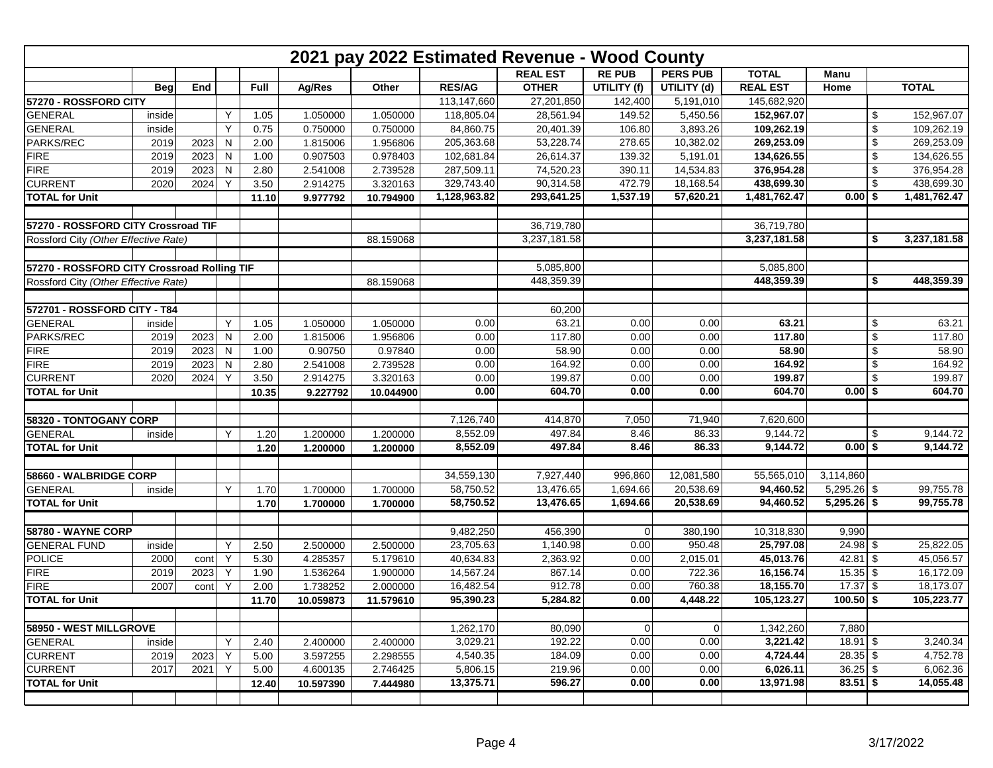| 2021 pay 2022 Estimated Revenue - Wood County |            |      |              |             |           |           |               |                 |               |                 |                 |               |    |              |
|-----------------------------------------------|------------|------|--------------|-------------|-----------|-----------|---------------|-----------------|---------------|-----------------|-----------------|---------------|----|--------------|
|                                               |            |      |              |             |           |           |               | <b>REAL EST</b> | <b>RE PUB</b> | <b>PERS PUB</b> | <b>TOTAL</b>    | Manu          |    |              |
|                                               | <b>Beg</b> | End  |              | <b>Full</b> | Ag/Res    | Other     | <b>RES/AG</b> | <b>OTHER</b>    | UTILITY (f)   | UTILITY (d)     | <b>REAL EST</b> | Home          |    | <b>TOTAL</b> |
| 57270 - ROSSFORD CITY                         |            |      |              |             |           |           | 113,147,660   | 27,201,850      | 142,400       | 5,191,010       | 145,682,920     |               |    |              |
| <b>GENERAL</b>                                | inside     |      | Y            | 1.05        | 1.050000  | 1.050000  | 118,805.04    | 28.561.94       | 149.52        | 5,450.56        | 152,967.07      |               | \$ | 152,967.07   |
| <b>GENERAL</b>                                | inside     |      | Υ            | 0.75        | 0.750000  | 0.750000  | 84,860.75     | 20,401.39       | 106.80        | 3,893.26        | 109,262.19      |               | \$ | 109,262.19   |
| PARKS/REC                                     | 2019       | 2023 | ${\sf N}$    | 2.00        | 1.815006  | 1.956806  | 205,363.68    | 53,228.74       | 278.65        | 10,382.02       | 269,253.09      |               | \$ | 269,253.09   |
| <b>FIRE</b>                                   | 2019       | 2023 | $\mathsf{N}$ | 1.00        | 0.907503  | 0.978403  | 102,681.84    | 26,614.37       | 139.32        | 5,191.01        | 134,626.55      |               | \$ | 134,626.55   |
| <b>FIRE</b>                                   | 2019       | 2023 | $\mathsf{N}$ | 2.80        | 2.541008  | 2.739528  | 287,509.11    | 74,520.23       | 390.11        | 14,534.83       | 376,954.28      |               | \$ | 376,954.28   |
| <b>CURRENT</b>                                | 2020       | 2024 | Y            | 3.50        | 2.914275  | 3.320163  | 329,743.40    | 90,314.58       | 472.79        | 18,168.54       | 438,699.30      |               | \$ | 438,699.30   |
| <b>TOTAL for Unit</b>                         |            |      |              | 11.10       | 9.977792  | 10.794900 | 1,128,963.82  | 293,641.25      | 1,537.19      | 57,620.21       | 1,481,762.47    | $0.00$ \$     |    | 1,481,762.47 |
| 57270 - ROSSFORD CITY Crossroad TIF           |            |      |              |             |           |           |               | 36,719,780      |               |                 | 36,719,780      |               |    |              |
| Rossford City (Other Effective Rate)          |            |      |              |             |           | 88.159068 |               | 3,237,181.58    |               |                 | 3,237,181.58    |               | \$ | 3,237,181.58 |
|                                               |            |      |              |             |           |           |               |                 |               |                 |                 |               |    |              |
| 57270 - ROSSFORD CITY Crossroad Rolling TIF   |            |      |              |             |           |           |               | 5,085,800       |               |                 | 5,085,800       |               |    |              |
| Rossford City (Other Effective Rate)          |            |      |              |             |           | 88.159068 |               | 448,359.39      |               |                 | 448,359.39      |               | \$ | 448,359.39   |
|                                               |            |      |              |             |           |           |               |                 |               |                 |                 |               |    |              |
| 572701 - ROSSFORD CITY - T84                  |            |      |              |             |           |           |               | 60,200          |               |                 |                 |               |    |              |
| <b>GENERAL</b>                                | inside     |      | Y            | 1.05        | 1.050000  | 1.050000  | 0.00          | 63.21           | 0.00          | 0.00            | 63.21           |               | \$ | 63.21        |
| PARKS/REC                                     | 2019       | 2023 | $\mathsf{N}$ | 2.00        | 1.815006  | 1.956806  | 0.00          | 117.80          | 0.00          | 0.00            | 117.80          |               | \$ | 117.80       |
| <b>FIRE</b>                                   | 2019       | 2023 | $\mathsf{N}$ | 1.00        | 0.90750   | 0.97840   | 0.00          | 58.90           | 0.00          | 0.00            | 58.90           |               | \$ | 58.90        |
| <b>FIRE</b>                                   | 2019       | 2023 | ${\sf N}$    | 2.80        | 2.541008  | 2.739528  | 0.00          | 164.92          | 0.00          | 0.00            | 164.92          |               | \$ | 164.92       |
| <b>CURRENT</b>                                | 2020       | 2024 | Y            | 3.50        | 2.914275  | 3.320163  | 0.00          | 199.87          | 0.00          | 0.00            | 199.87          |               | \$ | 199.87       |
| <b>TOTAL for Unit</b>                         |            |      |              | 10.35       | 9.227792  | 10.044900 | 0.00          | 604.70          | 0.00          | 0.00            | 604.70          | $0.00$ \$     |    | 604.70       |
| 58320 - TONTOGANY CORP                        |            |      |              |             |           |           | 7,126,740     | 414,870         | 7,050         | 71,940          | 7,620,600       |               |    |              |
| <b>GENERAL</b>                                | inside     |      | Y            | 1.20        | 1.200000  | 1.200000  | 8,552.09      | 497.84          | 8.46          | 86.33           | 9,144.72        |               | S  | 9,144.72     |
| <b>TOTAL for Unit</b>                         |            |      |              | 1.20        | 1.200000  | 1.200000  | 8,552.09      | 497.84          | 8.46          | 86.33           | 9,144.72        | $0.00$ \$     |    | 9,144.72     |
|                                               |            |      |              |             |           |           |               |                 |               |                 |                 |               |    |              |
| 58660 - WALBRIDGE CORP                        |            |      |              |             |           |           | 34,559,130    | 7,927,440       | 996,860       | 12,081,580      | 55,565,010      | 3,114,860     |    |              |
| <b>GENERAL</b>                                | inside     |      | Y            | 1.70        | 1.700000  | 1.700000  | 58,750.52     | 13,476.65       | 1,694.66      | 20,538.69       | 94,460.52       | $5,295.26$ \$ |    | 99,755.78    |
| <b>TOTAL for Unit</b>                         |            |      |              | 1.70        | 1.700000  | 1.700000  | 58,750.52     | 13,476.65       | 1,694.66      | 20,538.69       | 94,460.52       | $5,295.26$ \$ |    | 99,755.78    |
| 58780 - WAYNE CORP                            |            |      |              |             |           |           | 9,482,250     | 456,390         | $\Omega$      | 380,190         | 10,318,830      | 9,990         |    |              |
| <b>GENERAL FUND</b>                           | inside     |      | Y            | 2.50        | 2.500000  | 2.500000  | 23,705.63     | 1,140.98        | 0.00          | 950.48          | 25,797.08       | $24.98$ \$    |    | 25,822.05    |
| <b>POLICE</b>                                 | 2000       | cont | Y            | 5.30        | 4.285357  | 5.179610  | 40,634.83     | 2,363.92        | 0.00          | 2,015.01        | 45,013.76       | $42.81$ \$    |    | 45,056.57    |
| <b>FIRE</b>                                   | 2019       | 2023 | Y            | 1.90        | 1.536264  | 1.900000  | 14,567.24     | 867.14          | 0.00          | 722.36          | 16,156.74       | $15.35$ \$    |    | 16,172.09    |
| <b>FIRE</b>                                   | 2007       | cont | Y            | 2.00        | 1.738252  | 2.000000  | 16,482.54     | 912.78          | 0.00          | 760.38          | 18,155.70       | $17.37$ \$    |    | 18,173.07    |
| <b>TOTAL for Unit</b>                         |            |      |              | 11.70       | 10.059873 | 11.579610 | 95,390.23     | 5,284.82        | 0.00          | 4,448.22        | 105,123.27      | $100.50$ \$   |    | 105,223.77   |
|                                               |            |      |              |             |           |           |               |                 |               |                 |                 |               |    |              |
| 58950 - WEST MILLGROVE                        |            |      |              |             |           |           | 1,262,170     | 80,090          | 0             | $\Omega$        | 1,342,260       | 7,880         |    |              |
| <b>GENERAL</b>                                | inside     |      | Y            | 2.40        | 2.400000  | 2.400000  | 3,029.21      | 192.22          | 0.00          | 0.00            | 3,221.42        | $18.91$ \$    |    | 3,240.34     |
| <b>CURRENT</b>                                | 2019       | 2023 | Υ            | 5.00        | 3.597255  | 2.298555  | 4,540.35      | 184.09          | 0.00          | 0.00            | 4,724.44        | $28.35$ \$    |    | 4,752.78     |
| <b>CURRENT</b>                                | 2017       | 2021 | Y            | 5.00        | 4.600135  | 2.746425  | 5,806.15      | 219.96          | 0.00          | 0.00            | 6,026.11        | $36.25$ \$    |    | 6,062.36     |
| <b>TOTAL for Unit</b>                         |            |      |              | 12.40       | 10.597390 | 7.444980  | 13,375.71     | 596.27          | 0.00          | 0.00            | 13,971.98       | $83.51$ \$    |    | 14,055.48    |
|                                               |            |      |              |             |           |           |               |                 |               |                 |                 |               |    |              |